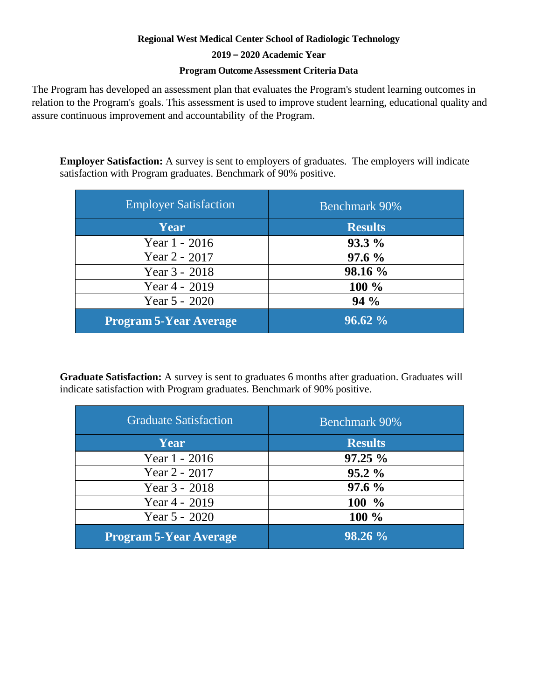## **Regional West Medical Center School of Radiologic Technology**

## **2019 – 2020 Academic Year**

## **Program Outcome Assessment Criteria Data**

The Program has developed an assessment plan that evaluates the Program's student learning outcomes in relation to the Program's goals. This assessment is used to improve student learning, educational quality and assure [continu](https://www.jrcert.org/resources/program-effectiveness-data/)ous improvement and accountability of the Program.

**Employer Satisfaction:** A survey is sent to employers of graduates. The employers will indicate satisfaction with Program graduates. Benchmark of 90% positive.

| <b>Employer Satisfaction</b>  | <b>Benchmark 90%</b> |
|-------------------------------|----------------------|
| Year                          | <b>Results</b>       |
| Year 1 - 2016                 | $93.3\%$             |
| Year $2 - 2017$               | $97.6 \%$            |
| Year 3 - 2018                 | 98.16 %              |
| Year $4 - 2019$               | 100 %                |
| Year 5 - 2020                 | $94\%$               |
| <b>Program 5-Year Average</b> | $96.62\%$            |

**Graduate Satisfaction:** A survey is sent to graduates 6 months after graduation. Graduates will indicate satisfaction with Program graduates. Benchmark of 90% positive.

| <b>Graduate Satisfaction</b>  | <b>Benchmark 90%</b> |
|-------------------------------|----------------------|
| Year                          | <b>Results</b>       |
| Year 1 - 2016                 | $97.25 \%$           |
| Year 2 - 2017                 | $95.2\%$             |
| Year 3 - 2018                 | 97.6%                |
| Year 4 - 2019                 | $100 \frac{9}{6}$    |
| Year $5 - 2020$               | $100\%$              |
| <b>Program 5-Year Average</b> | 98.26 %              |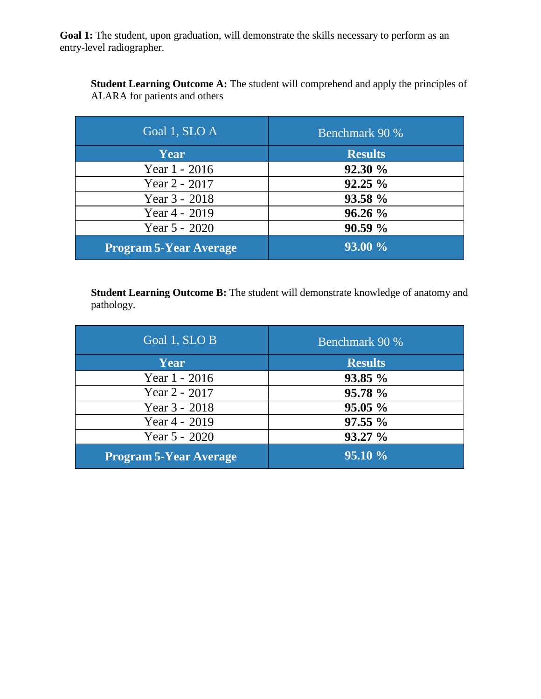Goal 1: The student, upon graduation, will demonstrate the skills necessary to perform as an entry-level radiographer.

**Student Learning Outcome A:** The student will comprehend and apply the principles of ALARA for patients and others

| Goal 1, SLO A                 | <b>Benchmark 90 %</b> |
|-------------------------------|-----------------------|
| Year                          | <b>Results</b>        |
| Year 1 - 2016                 | 92.30 %               |
| Year $2 - 2017$               | $92.25 \%$            |
| Year 3 - 2018                 | 93.58 %               |
| Year 4 - 2019                 | 96.26%                |
| Year 5 - 2020                 | 90.59%                |
| <b>Program 5-Year Average</b> | 93.00 %               |

**Student Learning Outcome B:** The student will demonstrate knowledge of anatomy and pathology.

| Goal 1, SLO B                 | <b>Benchmark 90 %</b> |
|-------------------------------|-----------------------|
| Year                          | <b>Results</b>        |
| Year 1 - 2016                 | 93.85 %               |
| Year 2 - 2017                 | 95.78 %               |
| Year 3 - 2018                 | 95.05%                |
| Year 4 - 2019                 | $97.55\%$             |
| Year 5 - 2020                 | 93.27 %               |
| <b>Program 5-Year Average</b> | 95.10 %               |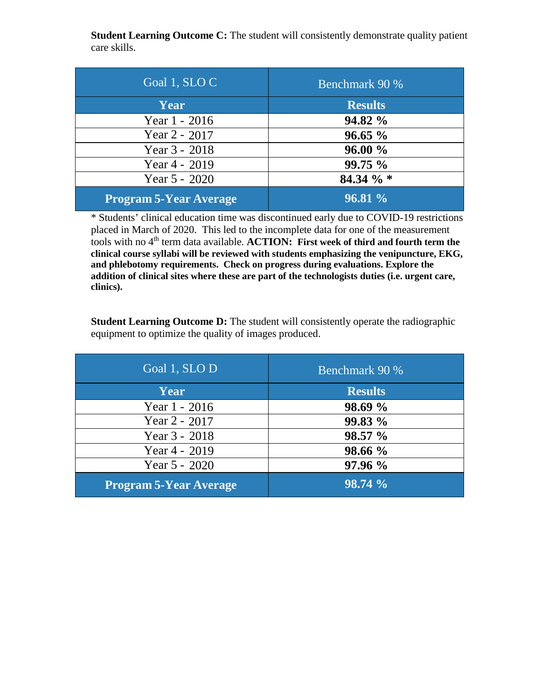**Student Learning Outcome C:** The student will consistently demonstrate quality patient care skills.

| Goal 1, SLOC                  | Benchmark 90 % |
|-------------------------------|----------------|
| Year                          | <b>Results</b> |
| Year 1 - 2016                 | 94.82 %        |
| Year 2 - 2017                 | 96.65%         |
| Year 3 - 2018                 | 96.00%         |
| Year 4 - 2019                 | 99.75 %        |
| Year 5 - 2020                 | 84.34 % *      |
| <b>Program 5-Year Average</b> | 96.81 %        |

\* Students' clinical education time was discontinued early due to COVID-19 restrictions placed in March of 2020. This led to the incomplete data for one of the measurement tools with no 4<sup>th</sup> term data available. **ACTION:** First week of third and fourth term the **clinical course syllabi will be reviewed with students emphasizing the venipuncture, EKG, and phlebotomy requirements. Check on progress during evaluations. Explore the addition of clinical sites where these are part of the technologists duties (i.e. urgent care, clinics).** 

**Student Learning Outcome D:** The student will consistently operate the radiographic equipment to optimize the quality of images produced.

| Goal 1, SLO D                 | Benchmark 90 % |
|-------------------------------|----------------|
| Year                          | <b>Results</b> |
| Year 1 - 2016                 | 98.69 %        |
| Year 2 - 2017                 | 99.83 %        |
| Year 3 - 2018                 | 98.57 %        |
| Year 4 - 2019                 | 98.66 %        |
| Year $5 - 2020$               | 97.96 %        |
| <b>Program 5-Year Average</b> | 98.74%         |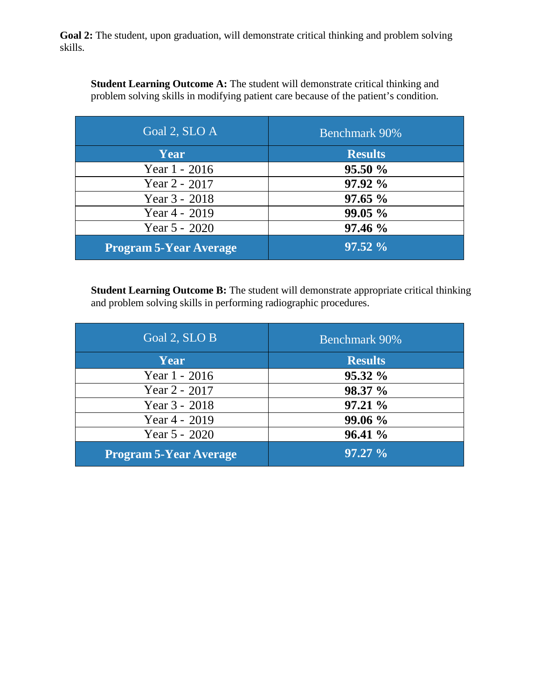Goal 2: The student, upon graduation, will demonstrate critical thinking and problem solving skills.

**Student Learning Outcome A:** The student will demonstrate critical thinking and problem solving skills in modifying patient care because of the patient's condition.

| Goal 2, SLO A                 | <b>Benchmark 90%</b> |
|-------------------------------|----------------------|
| Year                          | <b>Results</b>       |
| Year 1 - 2016                 | 95.50%               |
| Year $2 - 2017$               | 97.92 %              |
| Year 3 - 2018                 | 97.65%               |
| Year 4 - 2019                 | 99.05%               |
| Year 5 - 2020                 | 97.46 %              |
| <b>Program 5-Year Average</b> | $97.52\%$            |

**Student Learning Outcome B:** The student will demonstrate appropriate critical thinking and problem solving skills in performing radiographic procedures.

| Goal 2, SLO B                 | <b>Benchmark 90%</b> |
|-------------------------------|----------------------|
| Year                          | <b>Results</b>       |
| Year 1 - 2016                 | $95.32\%$            |
| Year $2 - 2017$               | 98.37 %              |
| Year 3 - 2018                 | 97.21%               |
| Year 4 - 2019                 | 99.06 %              |
| Year 5 - 2020                 | 96.41%               |
| <b>Program 5-Year Average</b> | $97.27 \%$           |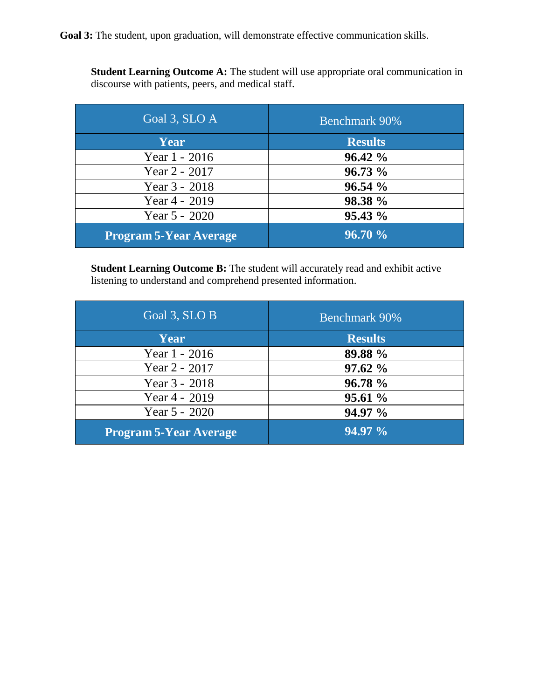Goal 3: The student, upon graduation, will demonstrate effective communication skills.

**Student Learning Outcome A:** The student will use appropriate oral communication in discourse with patients, peers, and medical staff.

| Goal 3, SLO $A$               | <b>Benchmark 90%</b> |
|-------------------------------|----------------------|
| Year                          | <b>Results</b>       |
| Year 1 - 2016                 | $96.42 \%$           |
| Year 2 - 2017                 | 96.73 %              |
| Year 3 - 2018                 | 96.54%               |
| Year 4 - 2019                 | 98.38 %              |
| Year $5 - 2020$               | $95.43\%$            |
| <b>Program 5-Year Average</b> | 96.70%               |

**Student Learning Outcome B:** The student will accurately read and exhibit active listening to understand and comprehend presented information.

| Goal 3, SLO B                 | <b>Benchmark 90%</b> |
|-------------------------------|----------------------|
| Year                          | <b>Results</b>       |
| Year 1 - 2016                 | 89.88 %              |
| Year 2 - 2017                 | 97.62%               |
| Year 3 - 2018                 | 96.78 %              |
| Year 4 - 2019                 | 95.61%               |
| Year $5 - 2020$               | 94.97 %              |
| <b>Program 5-Year Average</b> | 94.97 %              |